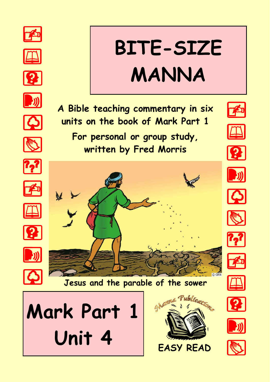

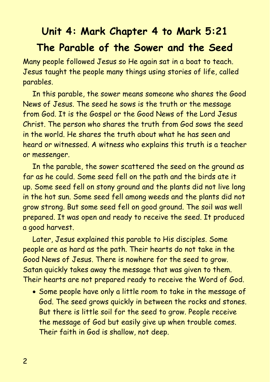# **Unit 4: Mark Chapter 4 to Mark 5:21 The Parable of the Sower and the Seed**

Many people followed Jesus so He again sat in a boat to teach. Jesus taught the people many things using stories of life, called parables.

In this parable, the sower means someone who shares the Good News of Jesus. The seed he sows is the truth or the message from God. It is the Gospel or the Good News of the Lord Jesus Christ. The person who shares the truth from God sows the seed in the world. He shares the truth about what he has seen and heard or witnessed. A witness who explains this truth is a teacher or messenger.

In the parable, the sower scattered the seed on the ground as far as he could. Some seed fell on the path and the birds ate it up. Some seed fell on stony ground and the plants did not live long in the hot sun. Some seed fell among weeds and the plants did not grow strong. But some seed fell on good ground. The soil was well prepared. It was open and ready to receive the seed. It produced a good harvest.

Later, Jesus explained this parable to His disciples. Some people are as hard as the path. Their hearts do not take in the Good News of Jesus. There is nowhere for the seed to grow. Satan quickly takes away the message that was given to them. Their hearts are not prepared ready to receive the Word of God.

• Some people have only a little room to take in the message of God. The seed grows quickly in between the rocks and stones. But there is little soil for the seed to grow. People receive the message of God but easily give up when trouble comes. Their faith in God is shallow, not deep.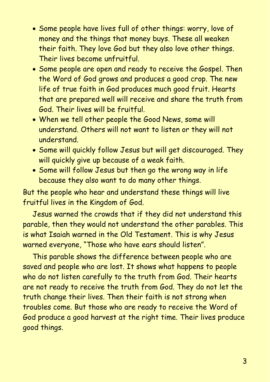- Some people have lives full of other things: worry, love of money and the things that money buys. These all weaken their faith. They love God but they also love other things. Their lives become unfruitful.
- Some people are open and ready to receive the Gospel. Then the Word of God grows and produces a good crop. The new life of true faith in God produces much good fruit. Hearts that are prepared well will receive and share the truth from God. Their lives will be fruitful.
- When we tell other people the Good News, some will understand. Others will not want to listen or they will not understand.
- Some will quickly follow Jesus but will get discouraged. They will quickly give up because of a weak faith.
- Some will follow Jesus but then go the wrong way in life because they also want to do many other things.

But the people who hear and understand these things will live fruitful lives in the Kingdom of God.

Jesus warned the crowds that if they did not understand this parable, then they would not understand the other parables. This is what Isaiah warned in the Old Testament. This is why Jesus warned everyone, "Those who have ears should listen".

This parable shows the difference between people who are saved and people who are lost. It shows what happens to people who do not listen carefully to the truth from God. Their hearts are not ready to receive the truth from God. They do not let the truth change their lives. Then their faith is not strong when troubles come. But those who are ready to receive the Word of God produce a good harvest at the right time. Their lives produce good things.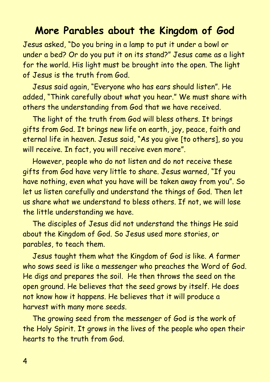### **More Parables about the Kingdom of God**

Jesus asked, "Do you bring in a lamp to put it under a bowl or under a bed? Or do you put it on its stand?" Jesus came as a light for the world. His light must be brought into the open. The light of Jesus is the truth from God.

Jesus said again, "Everyone who has ears should listen". He added, "Think carefully about what you hear." We must share with others the understanding from God that we have received.

The light of the truth from God will bless others. It brings gifts from God. It brings new life on earth, joy, peace, faith and eternal life in heaven. Jesus said, "As you give [to others], so you will receive. In fact, you will receive even more".

However, people who do not listen and do not receive these gifts from God have very little to share. Jesus warned, "If you have nothing, even what you have will be taken away from you". So let us listen carefully and understand the things of God. Then let us share what we understand to bless others. If not, we will lose the little understanding we have.

The disciples of Jesus did not understand the things He said about the Kingdom of God. So Jesus used more stories, or parables, to teach them.

Jesus taught them what the Kingdom of God is like. A farmer who sows seed is like a messenger who preaches the Word of God. He digs and prepares the soil. He then throws the seed on the open ground. He believes that the seed grows by itself. He does not know how it happens. He believes that it will produce a harvest with many more seeds.

The growing seed from the messenger of God is the work of the Holy Spirit. It grows in the lives of the people who open their hearts to the truth from God.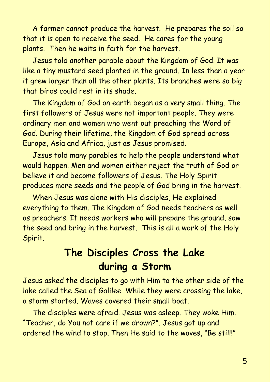A farmer cannot produce the harvest. He prepares the soil so that it is open to receive the seed. He cares for the young plants. Then he waits in faith for the harvest.

Jesus told another parable about the Kingdom of God. It was like a tiny mustard seed planted in the ground. In less than a year it grew larger than all the other plants. Its branches were so big that birds could rest in its shade.

The Kingdom of God on earth began as a very small thing. The first followers of Jesus were not important people. They were ordinary men and women who went out preaching the Word of God. During their lifetime, the Kingdom of God spread across Europe, Asia and Africa, just as Jesus promised.

Jesus told many parables to help the people understand what would happen. Men and women either reject the truth of God or believe it and become followers of Jesus. The Holy Spirit produces more seeds and the people of God bring in the harvest.

When Jesus was alone with His disciples, He explained everything to them. The Kingdom of God needs teachers as well as preachers. It needs workers who will prepare the ground, sow the seed and bring in the harvest. This is all a work of the Holy Spirit.

## **The Disciples Cross the Lake during a Storm**

Jesus asked the disciples to go with Him to the other side of the lake called the Sea of Galilee. While they were crossing the lake, a storm started. Waves covered their small boat.

The disciples were afraid. Jesus was asleep. They woke Him. "Teacher, do You not care if we drown?". Jesus got up and ordered the wind to stop. Then He said to the waves, "Be still!"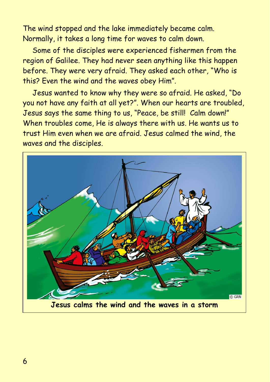The wind stopped and the lake immediately became calm. Normally, it takes a long time for waves to calm down.

Some of the disciples were experienced fishermen from the region of Galilee. They had never seen anything like this happen before. They were very afraid. They asked each other, "Who is this? Even the wind and the waves obey Him".

Jesus wanted to know why they were so afraid. He asked, "Do you not have any faith at all yet?". When our hearts are troubled, Jesus says the same thing to us, "Peace, be still! Calm down!" When troubles come, He is always there with us. He wants us to trust Him even when we are afraid. Jesus calmed the wind, the waves and the disciples.

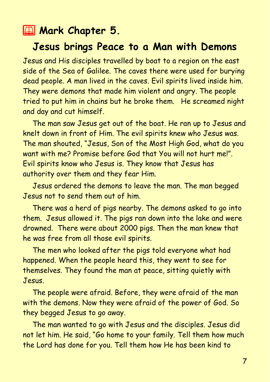### **2 Mark Chapter 5.**

#### **Jesus brings Peace to a Man with Demons**

Jesus and His disciples travelled by boat to a region on the east side of the Sea of Galilee. The caves there were used for burying dead people. A man lived in the caves. Evil spirits lived inside him. They were demons that made him violent and angry. The people tried to put him in chains but he broke them. He screamed night and day and cut himself.

The man saw Jesus get out of the boat. He ran up to Jesus and knelt down in front of Him. The evil spirits knew who Jesus was. The man shouted, "Jesus, Son of the Most High God, what do you want with me? Promise before God that You will not hurt me!". Evil spirits know who Jesus is. They know that Jesus has authority over them and they fear Him.

Jesus ordered the demons to leave the man. The man begged Jesus not to send them out of him.

There was a herd of pigs nearby. The demons asked to go into them. Jesus allowed it. The pigs ran down into the lake and were drowned. There were about 2000 pigs. Then the man knew that he was free from all those evil spirits.

The men who looked after the pigs told everyone what had happened. When the people heard this, they went to see for themselves. They found the man at peace, sitting quietly with Jesus.

The people were afraid. Before, they were afraid of the man with the demons. Now they were afraid of the power of God. So they begged Jesus to go away.

The man wanted to go with Jesus and the disciples. Jesus did not let him. He said, "Go home to your family. Tell them how much the Lord has done for you. Tell them how He has been kind to